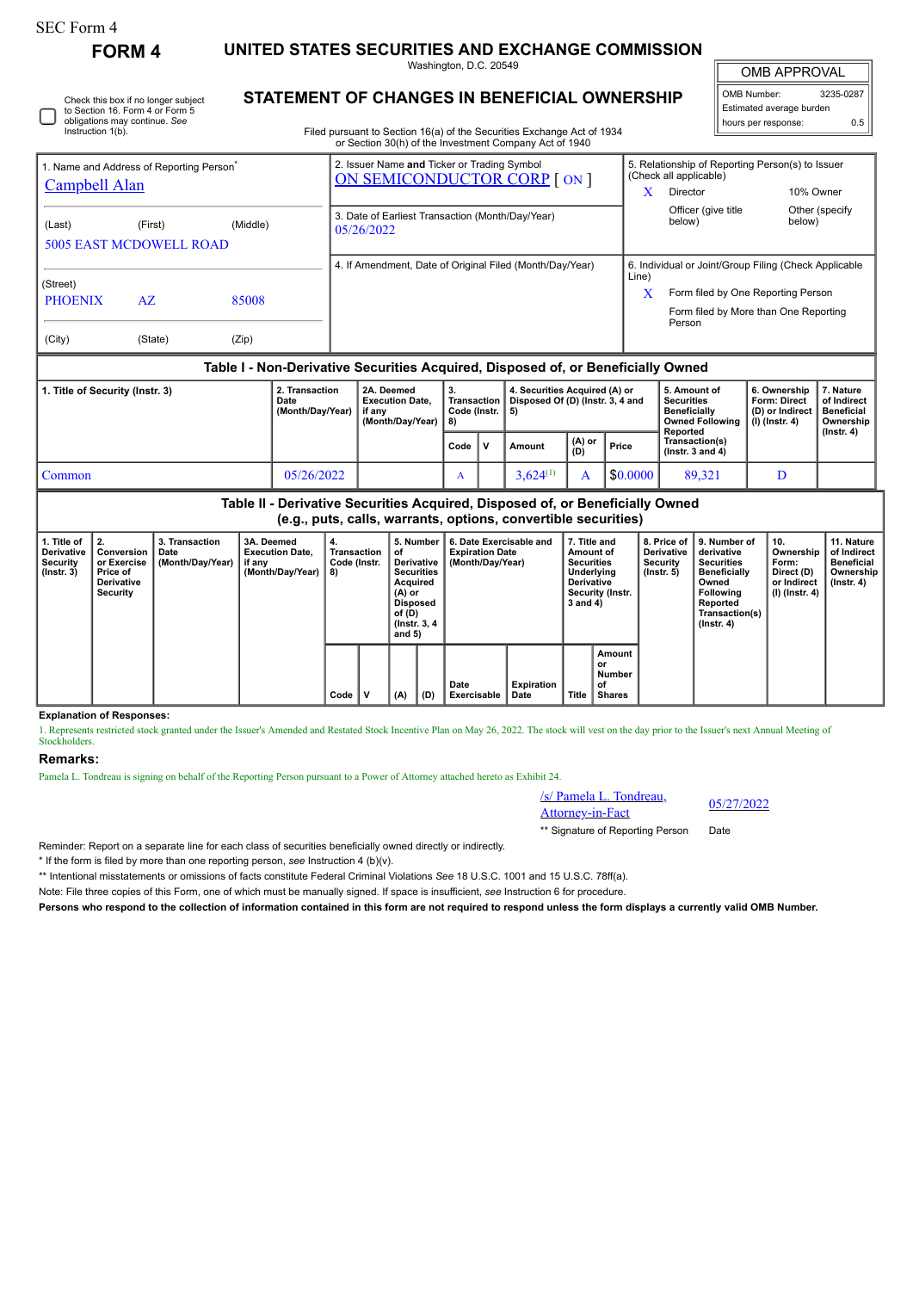Instruction 1(b).

Check this box if no longer subject to Section 16. Form 4 or Form 5 obligations may continue. *See*

**FORM 4 UNITED STATES SECURITIES AND EXCHANGE COMMISSION**

Washington, D.C. 20549

OMB APPROVAL

 $\sqrt{ }$ 

| 3235-0287                |  |  |  |  |  |  |  |  |
|--------------------------|--|--|--|--|--|--|--|--|
| Estimated average burden |  |  |  |  |  |  |  |  |
| 0.5                      |  |  |  |  |  |  |  |  |
|                          |  |  |  |  |  |  |  |  |

**STATEMENT OF CHANGES IN BENEFICIAL OWNERSHIP**

Filed pursuant to Section 16(a) of the Securities Exchange Act of 1934 or Section 30(h) of the Investment Company Act of 1940

|                                                                                  | 1. Name and Address of Reporting Person <sup>®</sup> |          | 2. Issuer Name and Ticker or Trading Symbol<br>ON SEMICONDUCTOR CORP [ ON ] |       | 5. Relationship of Reporting Person(s) to Issuer<br>(Check all applicable)            |                          |  |  |  |  |
|----------------------------------------------------------------------------------|------------------------------------------------------|----------|-----------------------------------------------------------------------------|-------|---------------------------------------------------------------------------------------|--------------------------|--|--|--|--|
| <b>Campbell Alan</b>                                                             |                                                      |          |                                                                             | x     | Director                                                                              | 10% Owner                |  |  |  |  |
| (Last)                                                                           | (First)<br><b>5005 EAST MCDOWELL ROAD</b>            | (Middle) | 3. Date of Earliest Transaction (Month/Day/Year)<br>05/26/2022              |       | Officer (give title<br>below)                                                         | Other (specify<br>below) |  |  |  |  |
|                                                                                  |                                                      |          | 4. If Amendment, Date of Original Filed (Month/Day/Year)                    |       | 6. Individual or Joint/Group Filing (Check Applicable                                 |                          |  |  |  |  |
| (Street)                                                                         |                                                      |          |                                                                             | Line) |                                                                                       |                          |  |  |  |  |
| <b>PHOENIX</b>                                                                   | AZ                                                   | 85008    |                                                                             | X     | Form filed by One Reporting Person<br>Form filed by More than One Reporting<br>Person |                          |  |  |  |  |
|                                                                                  |                                                      |          |                                                                             |       |                                                                                       |                          |  |  |  |  |
| (City)                                                                           | (State)                                              | (Zip)    |                                                                             |       |                                                                                       |                          |  |  |  |  |
| Table I - Non-Derivative Securities Acquired, Disposed of, or Beneficially Owned |                                                      |          |                                                                             |       |                                                                                       |                          |  |  |  |  |

| 1. Title of Security (Instr. 3) | 2. Transaction<br>Date<br>(Month/Dav/Year) | 2A. Deemed<br><b>Execution Date.</b><br>if anv<br>(Month/Dav/Year) | o.<br>Code (Instr.   5) | 4. Securities Acquired (A) or<br>Transaction   Disposed Of (D) (Instr. 3, 4 and |               |          | 5. Amount of<br>Securities<br><b>Beneficially</b><br><b>Owned Following</b><br>Reported | 6. Ownership  <br>Form: Direct<br>(D) or Indirect<br>(I) (Instr. 4) | 7. Nature<br>of Indirect<br><b>Beneficial</b><br>Ownership<br>$($ lnstr. 4 $)$ |
|---------------------------------|--------------------------------------------|--------------------------------------------------------------------|-------------------------|---------------------------------------------------------------------------------|---------------|----------|-----------------------------------------------------------------------------------------|---------------------------------------------------------------------|--------------------------------------------------------------------------------|
|                                 |                                            |                                                                    | Code                    | Amount                                                                          | (A) or<br>(D) | Price    | Transaction(s)<br>( $lnstr.$ 3 and 4)                                                   |                                                                     |                                                                                |
| l Common                        | 05/26/2022                                 |                                                                    | A                       | $3.624^{(1)}$                                                                   |               | \$0.0000 | 89.321                                                                                  |                                                                     |                                                                                |

**Table II - Derivative Securities Acquired, Disposed of, or Beneficially Owned (e.g., puts, calls, warrants, options, convertible securities)**

| 1. Title of<br><b>Derivative</b><br>Security<br>$($ lnstr. 3 $)$ | 2.<br>Conversion<br>or Exercise<br>Price of<br><b>Derivative</b><br>Security | 3. Transaction<br>Date<br>(Month/Day/Year) | 3A. Deemed<br><b>Execution Date.</b><br>if any<br>(Month/Day/Year) | 4.<br>Transaction<br>Code (Instr.<br>8) | 5. Number<br>οf<br>Derivative<br><b>Securities</b><br>Acquired<br>$(A)$ or<br>Disposed<br>of (D)<br>(Instr. 3, 4)<br>and 5) |     | 6. Date Exercisable and<br><b>Expiration Date</b><br>(Month/Dav/Year) | 7. Title and<br>Amount of<br><b>Securities</b><br>Underlying<br><b>Derivative</b><br>Security (Instr.<br>3 and 4) |       | 8. Price of I<br><b>Derivative</b><br>Security<br>$($ lnstr. 5 $)$ | l 9. Number of<br>derivative<br><b>Securities</b><br><b>Beneficially</b><br>Owned<br><b>Following</b><br>Reported<br>Transaction(s)<br>$($ lnstr. 4 $)$ | 10.<br>Ownership<br>Form:<br>Direct (D)<br>or Indirect<br>(I) (Instr. 4) | 11. Nature<br>of Indirect<br><b>Beneficial</b><br>Ownership<br>(Instr. 4) |  |
|------------------------------------------------------------------|------------------------------------------------------------------------------|--------------------------------------------|--------------------------------------------------------------------|-----------------------------------------|-----------------------------------------------------------------------------------------------------------------------------|-----|-----------------------------------------------------------------------|-------------------------------------------------------------------------------------------------------------------|-------|--------------------------------------------------------------------|---------------------------------------------------------------------------------------------------------------------------------------------------------|--------------------------------------------------------------------------|---------------------------------------------------------------------------|--|
|                                                                  |                                                                              |                                            |                                                                    | Code                                    | (A)                                                                                                                         | (D) | Date<br><b>Exercisable</b>                                            | <b>Expiration</b><br>Date                                                                                         | Title | Amount<br>or<br>Number<br>of<br><b>Shares</b>                      |                                                                                                                                                         |                                                                          |                                                                           |  |

**Explanation of Responses:**

1. Represents restricted stock granted under the Issuer's Amended and Restated Stock Incentive Plan on May 26, 2022. The stock will vest on the day prior to the Issuer's next Annual Meeting of **Stockholders** 

## **Remarks:**

Pamela L. Tondreau is signing on behalf of the Reporting Person pursuant to a Power of Attorney attached hereto as Exhibit 24.

/s/ Pamela L. Tondreau,  $\frac{\text{S}}{\text{S}}$  Pamela L. Tondreau,  $\frac{05}{27/2022}$ 

\*\* Signature of Reporting Person Date

Reminder: Report on a separate line for each class of securities beneficially owned directly or indirectly.

\* If the form is filed by more than one reporting person, *see* Instruction 4 (b)(v).

\*\* Intentional misstatements or omissions of facts constitute Federal Criminal Violations *See* 18 U.S.C. 1001 and 15 U.S.C. 78ff(a).

Note: File three copies of this Form, one of which must be manually signed. If space is insufficient, *see* Instruction 6 for procedure.

**Persons who respond to the collection of information contained in this form are not required to respond unless the form displays a currently valid OMB Number.**